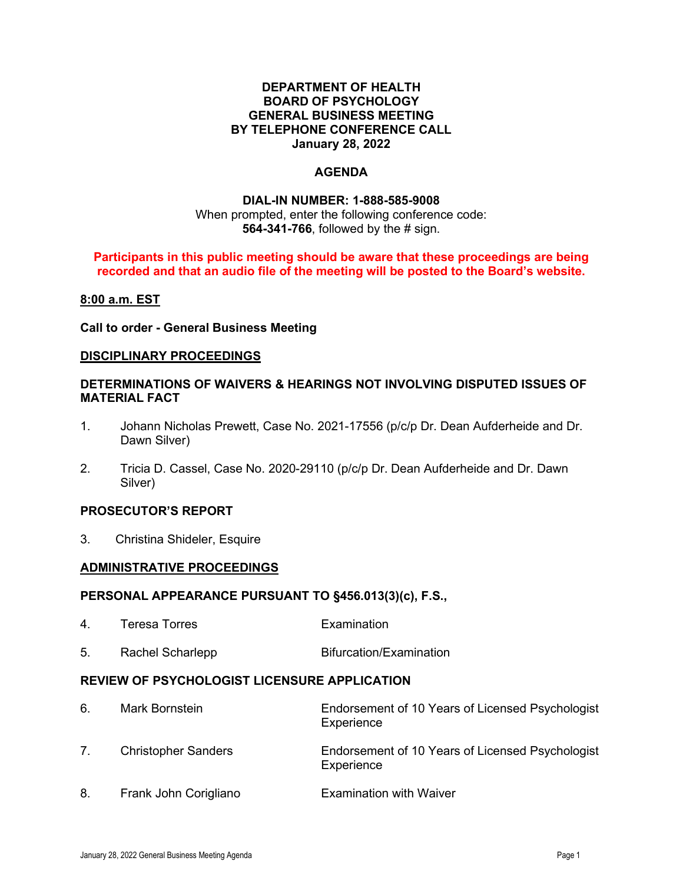#### **DEPARTMENT OF HEALTH BOARD OF PSYCHOLOGY GENERAL BUSINESS MEETING BY TELEPHONE CONFERENCE CALL January 28, 2022**

# **AGENDA**

# **DIAL-IN NUMBER: 1-888-585-9008**

#### When prompted, enter the following conference code: **564-341-766**, followed by the # sign.

#### **Participants in this public meeting should be aware that these proceedings are being recorded and that an audio file of the meeting will be posted to the Board's website.**

#### **8:00 a.m. EST**

**Call to order - General Business Meeting**

#### **DISCIPLINARY PROCEEDINGS**

## **DETERMINATIONS OF WAIVERS & HEARINGS NOT INVOLVING DISPUTED ISSUES OF MATERIAL FACT**

- 1. Johann Nicholas Prewett, Case No. 2021-17556 (p/c/p Dr. Dean Aufderheide and Dr. Dawn Silver)
- 2. Tricia D. Cassel, Case No. 2020-29110 (p/c/p Dr. Dean Aufderheide and Dr. Dawn Silver)

## **PROSECUTOR'S REPORT**

3. Christina Shideler, Esquire

#### **ADMINISTRATIVE PROCEEDINGS**

#### **PERSONAL APPEARANCE PURSUANT TO §456.013(3)(c), F.S.,**

| 4.                                           | <b>Teresa Torres</b>       | Examination                                                    |
|----------------------------------------------|----------------------------|----------------------------------------------------------------|
| 5.                                           | Rachel Scharlepp           | Bifurcation/Examination                                        |
| REVIEW OF PSYCHOLOGIST LICENSURE APPLICATION |                            |                                                                |
| 6.                                           | Mark Bornstein             | Endorsement of 10 Years of Licensed Psychologist<br>Experience |
| 7.                                           | <b>Christopher Sanders</b> | Endorsement of 10 Years of Licensed Psychologist<br>Experience |
| 8.                                           | Frank John Corigliano      | <b>Examination with Waiver</b>                                 |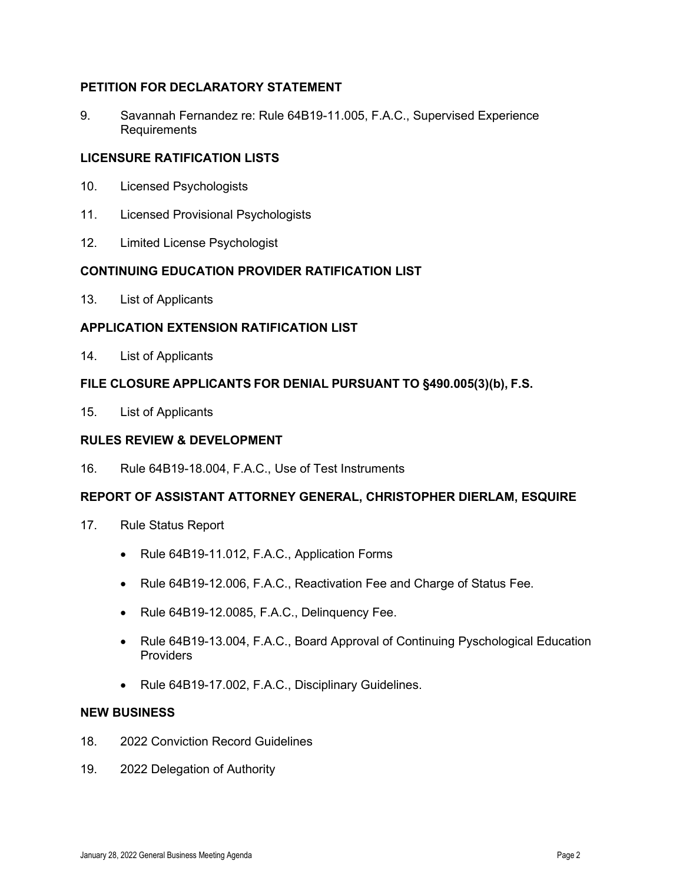# **PETITION FOR DECLARATORY STATEMENT**

9. Savannah Fernandez re: Rule 64B19-11.005, F.A.C., Supervised Experience Requirements

## **LICENSURE RATIFICATION LISTS**

- 10. Licensed Psychologists
- 11. Licensed Provisional Psychologists
- 12. Limited License Psychologist

## **CONTINUING EDUCATION PROVIDER RATIFICATION LIST**

13. List of Applicants

# **APPLICATION EXTENSION RATIFICATION LIST**

14. List of Applicants

## **FILE CLOSURE APPLICANTS FOR DENIAL PURSUANT TO §490.005(3)(b), F.S.**

15. List of Applicants

## **RULES REVIEW & DEVELOPMENT**

16. Rule 64B19-18.004, F.A.C., Use of Test Instruments

## **REPORT OF ASSISTANT ATTORNEY GENERAL, CHRISTOPHER DIERLAM, ESQUIRE**

- 17. Rule Status Report
	- Rule 64B19-11.012, F.A.C., Application Forms
	- Rule 64B19-12.006, F.A.C., Reactivation Fee and Charge of Status Fee.
	- Rule 64B19-12.0085, F.A.C., Delinquency Fee.
	- Rule 64B19-13.004, F.A.C., Board Approval of Continuing Pyschological Education Providers
	- Rule 64B19-17.002, F.A.C., Disciplinary Guidelines.

# **NEW BUSINESS**

- 18. 2022 Conviction Record Guidelines
- 19. 2022 Delegation of Authority